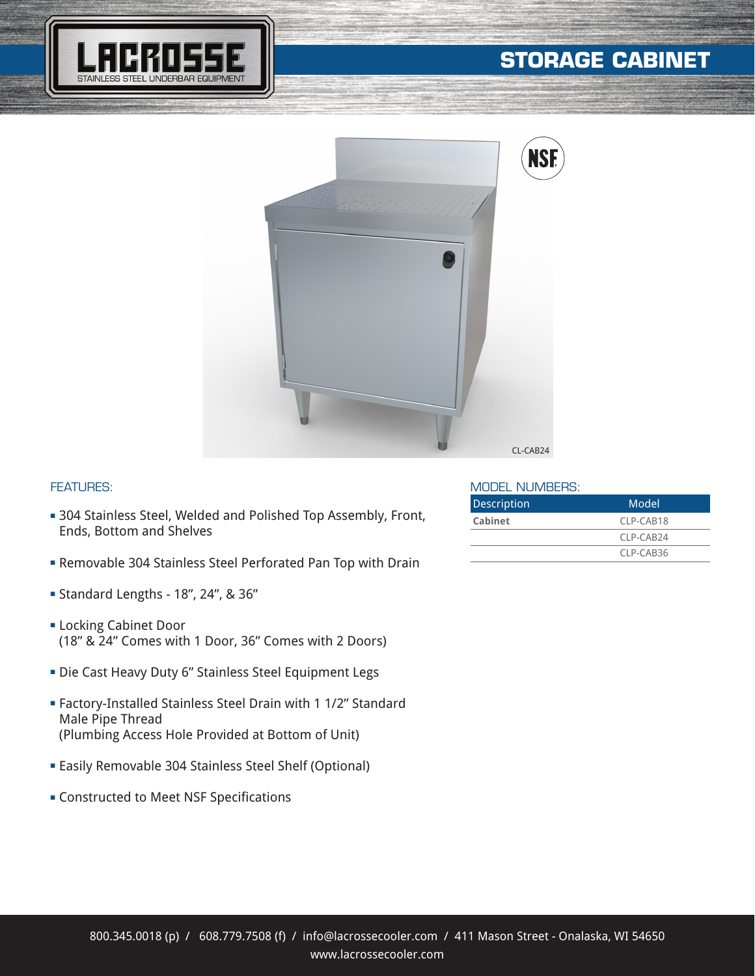

# **STORAGE CABINET**



#### FEATURES:

- **304 Stainless Steel, Welded and Polished Top Assembly, Front,** Ends, Bottom and Shelves
- **Example 304 Stainless Steel Perforated Pan Top with Drain**
- <sup>n</sup> Standard Lengths 18", 24", & 36"
- **ELocking Cabinet Door** (18" & 24" Comes with 1 Door, 36" Comes with 2 Doors)
- Die Cast Heavy Duty 6" Stainless Steel Equipment Legs
- <sup>n</sup> Factory-Installed Stainless Steel Drain with 1 1/2" Standard Male Pipe Thread (Plumbing Access Hole Provided at Bottom of Unit)
- **Easily Removable 304 Stainless Steel Shelf (Optional)**
- **EX Constructed to Meet NSF Specifications**

#### MODEL NUMBERS:

| Description | Model       |
|-------------|-------------|
| Cabinet     | CLP-CAB18   |
|             | $CIP-CAB24$ |
|             | CLP-CAB36   |